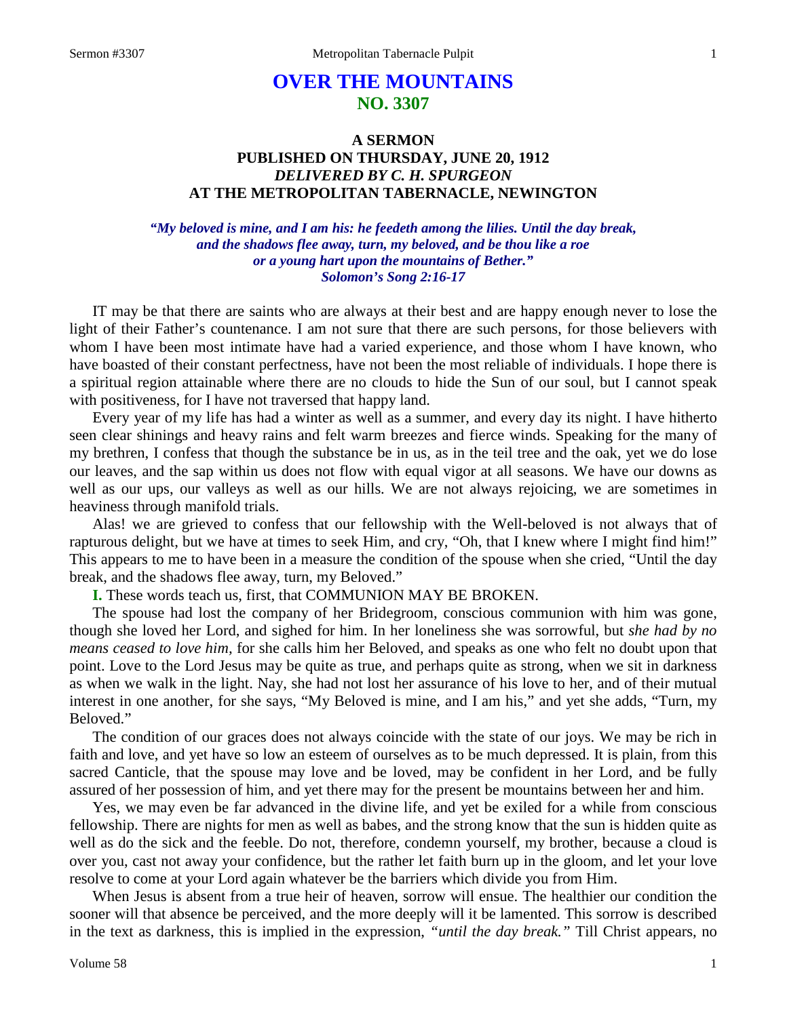# **OVER THE MOUNTAINS NO. 3307**

# **A SERMON PUBLISHED ON THURSDAY, JUNE 20, 1912** *DELIVERED BY C. H. SPURGEON* **AT THE METROPOLITAN TABERNACLE, NEWINGTON**

*"My beloved is mine, and I am his: he feedeth among the lilies. Until the day break, and the shadows flee away, turn, my beloved, and be thou like a roe or a young hart upon the mountains of Bether." Solomon's Song 2:16-17*

IT may be that there are saints who are always at their best and are happy enough never to lose the light of their Father's countenance. I am not sure that there are such persons, for those believers with whom I have been most intimate have had a varied experience, and those whom I have known, who have boasted of their constant perfectness, have not been the most reliable of individuals. I hope there is a spiritual region attainable where there are no clouds to hide the Sun of our soul, but I cannot speak with positiveness, for I have not traversed that happy land.

Every year of my life has had a winter as well as a summer, and every day its night. I have hitherto seen clear shinings and heavy rains and felt warm breezes and fierce winds. Speaking for the many of my brethren, I confess that though the substance be in us, as in the teil tree and the oak, yet we do lose our leaves, and the sap within us does not flow with equal vigor at all seasons. We have our downs as well as our ups, our valleys as well as our hills. We are not always rejoicing, we are sometimes in heaviness through manifold trials.

Alas! we are grieved to confess that our fellowship with the Well-beloved is not always that of rapturous delight, but we have at times to seek Him, and cry, "Oh, that I knew where I might find him!" This appears to me to have been in a measure the condition of the spouse when she cried, "Until the day break, and the shadows flee away, turn, my Beloved."

**I.** These words teach us, first, that COMMUNION MAY BE BROKEN.

The spouse had lost the company of her Bridegroom, conscious communion with him was gone, though she loved her Lord, and sighed for him. In her loneliness she was sorrowful, but *she had by no means ceased to love him,* for she calls him her Beloved, and speaks as one who felt no doubt upon that point. Love to the Lord Jesus may be quite as true, and perhaps quite as strong, when we sit in darkness as when we walk in the light. Nay, she had not lost her assurance of his love to her, and of their mutual interest in one another, for she says, "My Beloved is mine, and I am his," and yet she adds, "Turn, my Beloved."

The condition of our graces does not always coincide with the state of our joys. We may be rich in faith and love, and yet have so low an esteem of ourselves as to be much depressed. It is plain, from this sacred Canticle, that the spouse may love and be loved, may be confident in her Lord, and be fully assured of her possession of him, and yet there may for the present be mountains between her and him.

Yes, we may even be far advanced in the divine life, and yet be exiled for a while from conscious fellowship. There are nights for men as well as babes, and the strong know that the sun is hidden quite as well as do the sick and the feeble. Do not, therefore, condemn yourself, my brother, because a cloud is over you, cast not away your confidence, but the rather let faith burn up in the gloom, and let your love resolve to come at your Lord again whatever be the barriers which divide you from Him.

When Jesus is absent from a true heir of heaven, sorrow will ensue. The healthier our condition the sooner will that absence be perceived, and the more deeply will it be lamented. This sorrow is described in the text as darkness, this is implied in the expression, *"until the day break."* Till Christ appears, no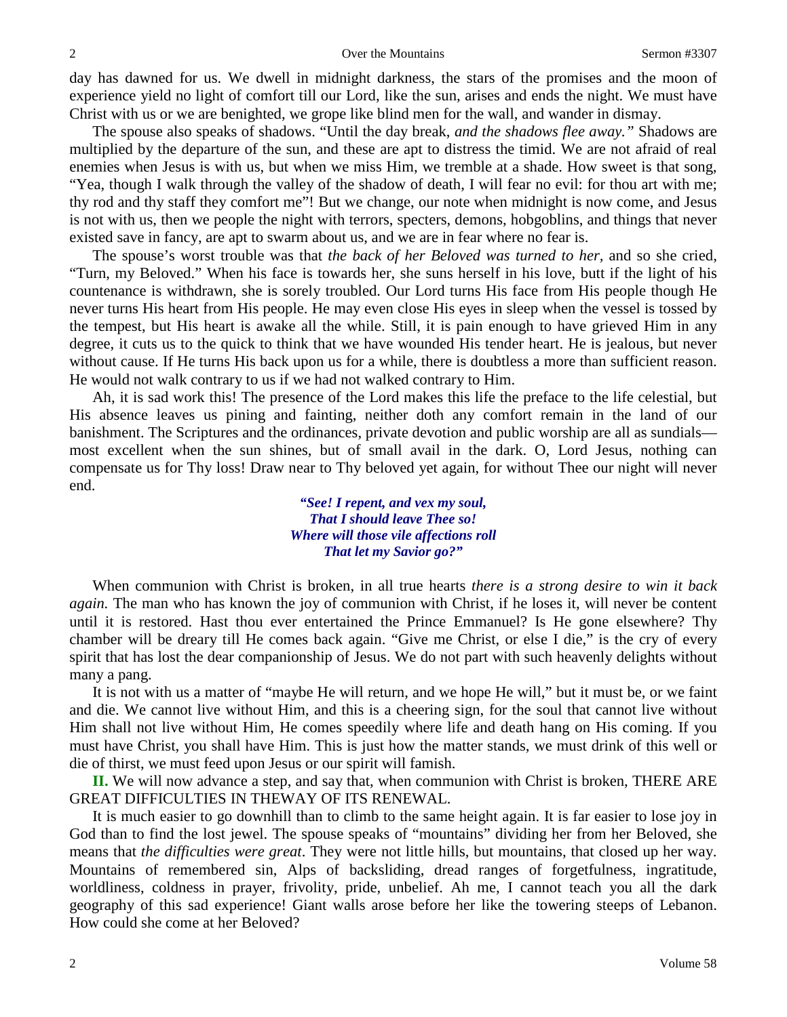day has dawned for us. We dwell in midnight darkness, the stars of the promises and the moon of experience yield no light of comfort till our Lord, like the sun, arises and ends the night. We must have Christ with us or we are benighted, we grope like blind men for the wall, and wander in dismay.

The spouse also speaks of shadows. "Until the day break, *and the shadows flee away."* Shadows are multiplied by the departure of the sun, and these are apt to distress the timid. We are not afraid of real enemies when Jesus is with us, but when we miss Him, we tremble at a shade. How sweet is that song, "Yea, though I walk through the valley of the shadow of death, I will fear no evil: for thou art with me; thy rod and thy staff they comfort me"! But we change, our note when midnight is now come, and Jesus is not with us, then we people the night with terrors, specters, demons, hobgoblins, and things that never existed save in fancy, are apt to swarm about us, and we are in fear where no fear is.

The spouse's worst trouble was that *the back of her Beloved was turned to her,* and so she cried, "Turn, my Beloved." When his face is towards her, she suns herself in his love, butt if the light of his countenance is withdrawn, she is sorely troubled. Our Lord turns His face from His people though He never turns His heart from His people. He may even close His eyes in sleep when the vessel is tossed by the tempest, but His heart is awake all the while. Still, it is pain enough to have grieved Him in any degree, it cuts us to the quick to think that we have wounded His tender heart. He is jealous, but never without cause. If He turns His back upon us for a while, there is doubtless a more than sufficient reason. He would not walk contrary to us if we had not walked contrary to Him.

Ah, it is sad work this! The presence of the Lord makes this life the preface to the life celestial, but His absence leaves us pining and fainting, neither doth any comfort remain in the land of our banishment. The Scriptures and the ordinances, private devotion and public worship are all as sundials most excellent when the sun shines, but of small avail in the dark. O, Lord Jesus, nothing can compensate us for Thy loss! Draw near to Thy beloved yet again, for without Thee our night will never end.

> *"See! I repent, and vex my soul, That I should leave Thee so! Where will those vile affections roll That let my Savior go?"*

When communion with Christ is broken, in all true hearts *there is a strong desire to win it back again*. The man who has known the joy of communion with Christ, if he loses it, will never be content until it is restored. Hast thou ever entertained the Prince Emmanuel? Is He gone elsewhere? Thy chamber will be dreary till He comes back again. "Give me Christ, or else I die," is the cry of every spirit that has lost the dear companionship of Jesus. We do not part with such heavenly delights without many a pang.

It is not with us a matter of "maybe He will return, and we hope He will," but it must be, or we faint and die. We cannot live without Him, and this is a cheering sign, for the soul that cannot live without Him shall not live without Him, He comes speedily where life and death hang on His coming. If you must have Christ, you shall have Him. This is just how the matter stands, we must drink of this well or die of thirst, we must feed upon Jesus or our spirit will famish.

**II.** We will now advance a step, and say that, when communion with Christ is broken, THERE ARE GREAT DIFFICULTIES IN THEWAY OF ITS RENEWAL.

It is much easier to go downhill than to climb to the same height again. It is far easier to lose joy in God than to find the lost jewel. The spouse speaks of "mountains" dividing her from her Beloved, she means that *the difficulties were great*. They were not little hills, but mountains, that closed up her way. Mountains of remembered sin, Alps of backsliding, dread ranges of forgetfulness, ingratitude, worldliness, coldness in prayer, frivolity, pride, unbelief. Ah me, I cannot teach you all the dark geography of this sad experience! Giant walls arose before her like the towering steeps of Lebanon. How could she come at her Beloved?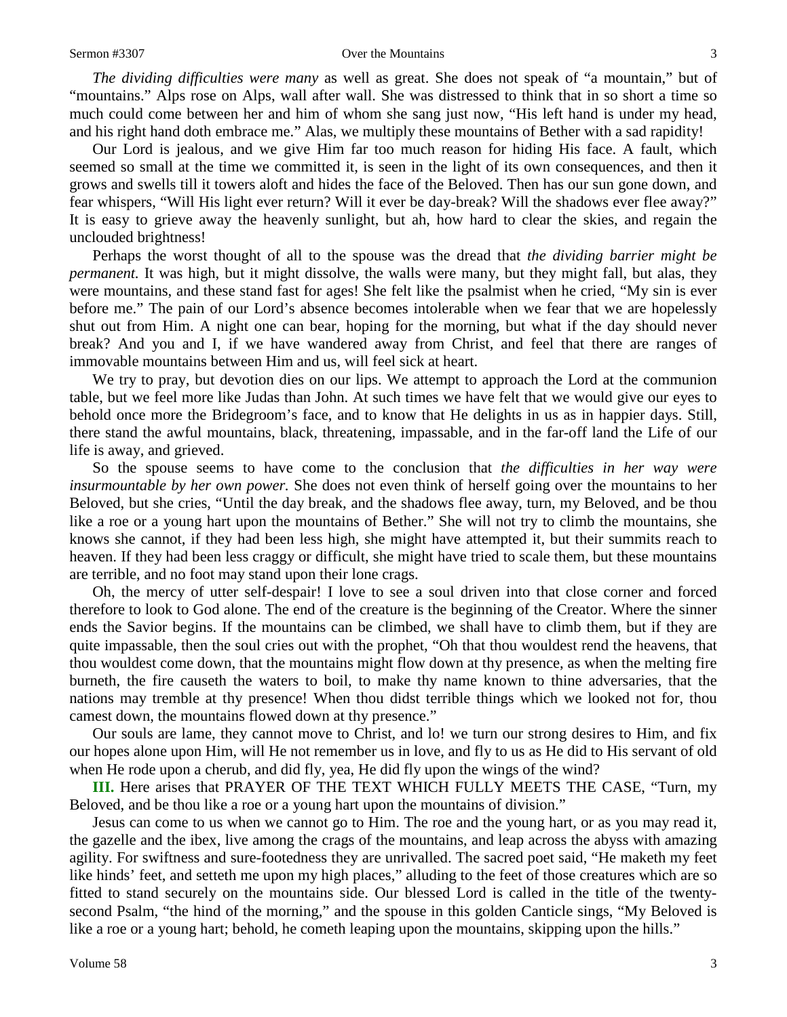*The dividing difficulties were many* as well as great. She does not speak of "a mountain," but of "mountains." Alps rose on Alps, wall after wall. She was distressed to think that in so short a time so much could come between her and him of whom she sang just now, "His left hand is under my head, and his right hand doth embrace me." Alas, we multiply these mountains of Bether with a sad rapidity!

Our Lord is jealous, and we give Him far too much reason for hiding His face. A fault, which seemed so small at the time we committed it, is seen in the light of its own consequences, and then it grows and swells till it towers aloft and hides the face of the Beloved. Then has our sun gone down, and fear whispers, "Will His light ever return? Will it ever be day-break? Will the shadows ever flee away?" It is easy to grieve away the heavenly sunlight, but ah, how hard to clear the skies, and regain the unclouded brightness!

Perhaps the worst thought of all to the spouse was the dread that *the dividing barrier might be permanent.* It was high, but it might dissolve, the walls were many, but they might fall, but alas, they were mountains, and these stand fast for ages! She felt like the psalmist when he cried, "My sin is ever before me." The pain of our Lord's absence becomes intolerable when we fear that we are hopelessly shut out from Him. A night one can bear, hoping for the morning, but what if the day should never break? And you and I, if we have wandered away from Christ, and feel that there are ranges of immovable mountains between Him and us, will feel sick at heart.

We try to pray, but devotion dies on our lips. We attempt to approach the Lord at the communion table, but we feel more like Judas than John. At such times we have felt that we would give our eyes to behold once more the Bridegroom's face, and to know that He delights in us as in happier days. Still, there stand the awful mountains, black, threatening, impassable, and in the far-off land the Life of our life is away, and grieved.

So the spouse seems to have come to the conclusion that *the difficulties in her way were insurmountable by her own power.* She does not even think of herself going over the mountains to her Beloved, but she cries, "Until the day break, and the shadows flee away, turn, my Beloved, and be thou like a roe or a young hart upon the mountains of Bether." She will not try to climb the mountains, she knows she cannot, if they had been less high, she might have attempted it, but their summits reach to heaven. If they had been less craggy or difficult, she might have tried to scale them, but these mountains are terrible, and no foot may stand upon their lone crags.

Oh, the mercy of utter self-despair! I love to see a soul driven into that close corner and forced therefore to look to God alone. The end of the creature is the beginning of the Creator. Where the sinner ends the Savior begins. If the mountains can be climbed, we shall have to climb them, but if they are quite impassable, then the soul cries out with the prophet, "Oh that thou wouldest rend the heavens, that thou wouldest come down, that the mountains might flow down at thy presence, as when the melting fire burneth, the fire causeth the waters to boil, to make thy name known to thine adversaries, that the nations may tremble at thy presence! When thou didst terrible things which we looked not for, thou camest down, the mountains flowed down at thy presence."

Our souls are lame, they cannot move to Christ, and lo! we turn our strong desires to Him, and fix our hopes alone upon Him, will He not remember us in love, and fly to us as He did to His servant of old when He rode upon a cherub, and did fly, yea, He did fly upon the wings of the wind?

**III.** Here arises that PRAYER OF THE TEXT WHICH FULLY MEETS THE CASE, "Turn, my Beloved, and be thou like a roe or a young hart upon the mountains of division."

Jesus can come to us when we cannot go to Him. The roe and the young hart, or as you may read it, the gazelle and the ibex, live among the crags of the mountains, and leap across the abyss with amazing agility. For swiftness and sure-footedness they are unrivalled. The sacred poet said, "He maketh my feet like hinds' feet, and setteth me upon my high places," alluding to the feet of those creatures which are so fitted to stand securely on the mountains side. Our blessed Lord is called in the title of the twentysecond Psalm, "the hind of the morning," and the spouse in this golden Canticle sings, "My Beloved is like a roe or a young hart; behold, he cometh leaping upon the mountains, skipping upon the hills."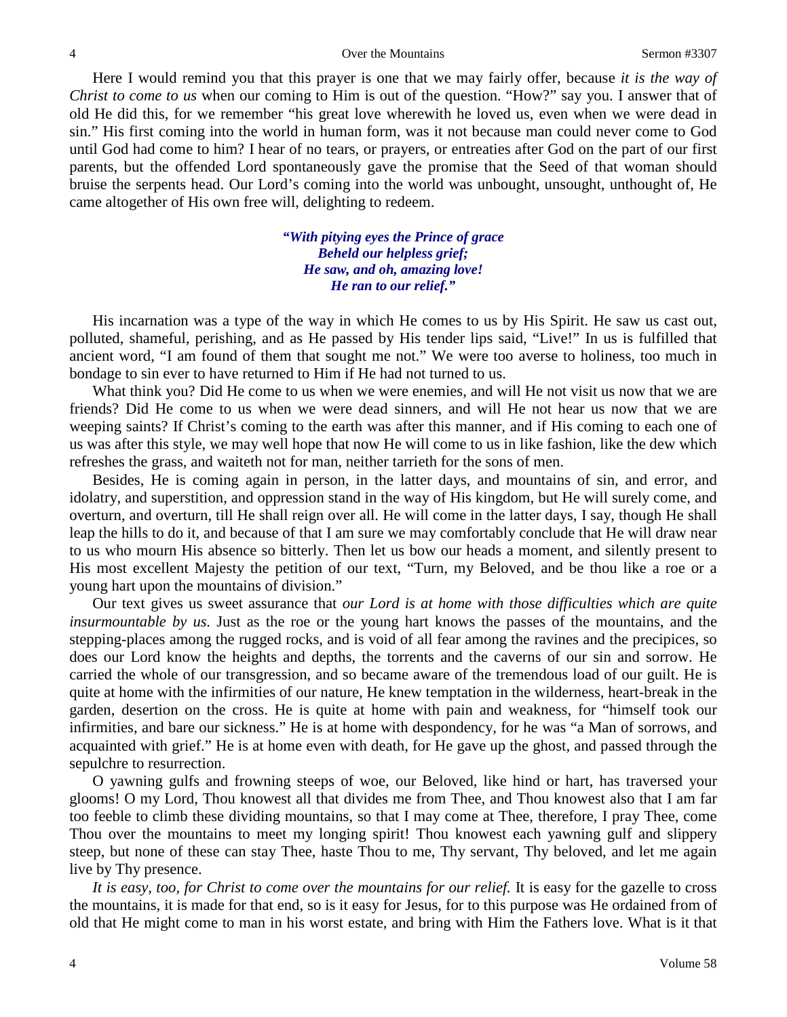Here I would remind you that this prayer is one that we may fairly offer, because *it is the way of Christ to come to us* when our coming to Him is out of the question. "How?" say you. I answer that of old He did this, for we remember "his great love wherewith he loved us, even when we were dead in sin." His first coming into the world in human form, was it not because man could never come to God until God had come to him? I hear of no tears, or prayers, or entreaties after God on the part of our first parents, but the offended Lord spontaneously gave the promise that the Seed of that woman should bruise the serpents head. Our Lord's coming into the world was unbought, unsought, unthought of, He came altogether of His own free will, delighting to redeem.

> *"With pitying eyes the Prince of grace Beheld our helpless grief; He saw, and oh, amazing love! He ran to our relief."*

His incarnation was a type of the way in which He comes to us by His Spirit. He saw us cast out, polluted, shameful, perishing, and as He passed by His tender lips said, "Live!" In us is fulfilled that ancient word, "I am found of them that sought me not." We were too averse to holiness, too much in bondage to sin ever to have returned to Him if He had not turned to us.

What think you? Did He come to us when we were enemies, and will He not visit us now that we are friends? Did He come to us when we were dead sinners, and will He not hear us now that we are weeping saints? If Christ's coming to the earth was after this manner, and if His coming to each one of us was after this style, we may well hope that now He will come to us in like fashion, like the dew which refreshes the grass, and waiteth not for man, neither tarrieth for the sons of men.

Besides, He is coming again in person, in the latter days, and mountains of sin, and error, and idolatry, and superstition, and oppression stand in the way of His kingdom, but He will surely come, and overturn, and overturn, till He shall reign over all. He will come in the latter days, I say, though He shall leap the hills to do it, and because of that I am sure we may comfortably conclude that He will draw near to us who mourn His absence so bitterly. Then let us bow our heads a moment, and silently present to His most excellent Majesty the petition of our text, "Turn, my Beloved, and be thou like a roe or a young hart upon the mountains of division."

Our text gives us sweet assurance that *our Lord is at home with those difficulties which are quite insurmountable by us.* Just as the roe or the young hart knows the passes of the mountains, and the stepping-places among the rugged rocks, and is void of all fear among the ravines and the precipices, so does our Lord know the heights and depths, the torrents and the caverns of our sin and sorrow. He carried the whole of our transgression, and so became aware of the tremendous load of our guilt. He is quite at home with the infirmities of our nature, He knew temptation in the wilderness, heart-break in the garden, desertion on the cross. He is quite at home with pain and weakness, for "himself took our infirmities, and bare our sickness." He is at home with despondency, for he was "a Man of sorrows, and acquainted with grief." He is at home even with death, for He gave up the ghost, and passed through the sepulchre to resurrection.

O yawning gulfs and frowning steeps of woe, our Beloved, like hind or hart, has traversed your glooms! O my Lord, Thou knowest all that divides me from Thee, and Thou knowest also that I am far too feeble to climb these dividing mountains, so that I may come at Thee, therefore, I pray Thee, come Thou over the mountains to meet my longing spirit! Thou knowest each yawning gulf and slippery steep, but none of these can stay Thee, haste Thou to me, Thy servant, Thy beloved, and let me again live by Thy presence.

*It is easy, too, for Christ to come over the mountains for our relief.* It is easy for the gazelle to cross the mountains, it is made for that end, so is it easy for Jesus, for to this purpose was He ordained from of old that He might come to man in his worst estate, and bring with Him the Fathers love. What is it that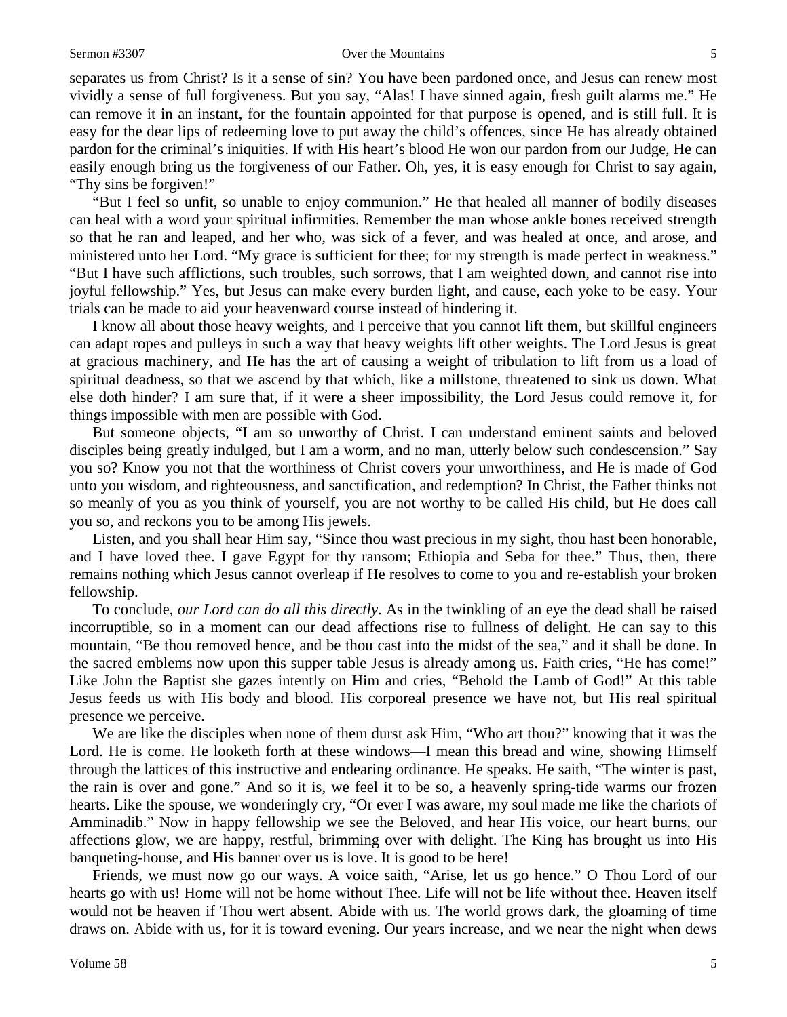separates us from Christ? Is it a sense of sin? You have been pardoned once, and Jesus can renew most vividly a sense of full forgiveness. But you say, "Alas! I have sinned again, fresh guilt alarms me." He can remove it in an instant, for the fountain appointed for that purpose is opened, and is still full. It is easy for the dear lips of redeeming love to put away the child's offences, since He has already obtained pardon for the criminal's iniquities. If with His heart's blood He won our pardon from our Judge, He can easily enough bring us the forgiveness of our Father. Oh, yes, it is easy enough for Christ to say again, "Thy sins be forgiven!"

"But I feel so unfit, so unable to enjoy communion." He that healed all manner of bodily diseases can heal with a word your spiritual infirmities. Remember the man whose ankle bones received strength so that he ran and leaped, and her who, was sick of a fever, and was healed at once, and arose, and ministered unto her Lord. "My grace is sufficient for thee; for my strength is made perfect in weakness." "But I have such afflictions, such troubles, such sorrows, that I am weighted down, and cannot rise into joyful fellowship." Yes, but Jesus can make every burden light, and cause, each yoke to be easy. Your trials can be made to aid your heavenward course instead of hindering it.

I know all about those heavy weights, and I perceive that you cannot lift them, but skillful engineers can adapt ropes and pulleys in such a way that heavy weights lift other weights. The Lord Jesus is great at gracious machinery, and He has the art of causing a weight of tribulation to lift from us a load of spiritual deadness, so that we ascend by that which, like a millstone, threatened to sink us down. What else doth hinder? I am sure that, if it were a sheer impossibility, the Lord Jesus could remove it, for things impossible with men are possible with God.

But someone objects, "I am so unworthy of Christ. I can understand eminent saints and beloved disciples being greatly indulged, but I am a worm, and no man, utterly below such condescension." Say you so? Know you not that the worthiness of Christ covers your unworthiness, and He is made of God unto you wisdom, and righteousness, and sanctification, and redemption? In Christ, the Father thinks not so meanly of you as you think of yourself, you are not worthy to be called His child, but He does call you so, and reckons you to be among His jewels.

Listen, and you shall hear Him say, "Since thou wast precious in my sight, thou hast been honorable, and I have loved thee. I gave Egypt for thy ransom; Ethiopia and Seba for thee." Thus, then, there remains nothing which Jesus cannot overleap if He resolves to come to you and re-establish your broken fellowship.

To conclude, *our Lord can do all this directly*. As in the twinkling of an eye the dead shall be raised incorruptible, so in a moment can our dead affections rise to fullness of delight. He can say to this mountain, "Be thou removed hence, and be thou cast into the midst of the sea," and it shall be done. In the sacred emblems now upon this supper table Jesus is already among us. Faith cries, "He has come!" Like John the Baptist she gazes intently on Him and cries, "Behold the Lamb of God!" At this table Jesus feeds us with His body and blood. His corporeal presence we have not, but His real spiritual presence we perceive.

We are like the disciples when none of them durst ask Him, "Who art thou?" knowing that it was the Lord. He is come. He looketh forth at these windows—I mean this bread and wine, showing Himself through the lattices of this instructive and endearing ordinance. He speaks. He saith, "The winter is past, the rain is over and gone." And so it is, we feel it to be so, a heavenly spring-tide warms our frozen hearts. Like the spouse, we wonderingly cry, "Or ever I was aware, my soul made me like the chariots of Amminadib." Now in happy fellowship we see the Beloved, and hear His voice, our heart burns, our affections glow, we are happy, restful, brimming over with delight. The King has brought us into His banqueting-house, and His banner over us is love. It is good to be here!

Friends, we must now go our ways. A voice saith, "Arise, let us go hence." O Thou Lord of our hearts go with us! Home will not be home without Thee. Life will not be life without thee. Heaven itself would not be heaven if Thou wert absent. Abide with us. The world grows dark, the gloaming of time draws on. Abide with us, for it is toward evening. Our years increase, and we near the night when dews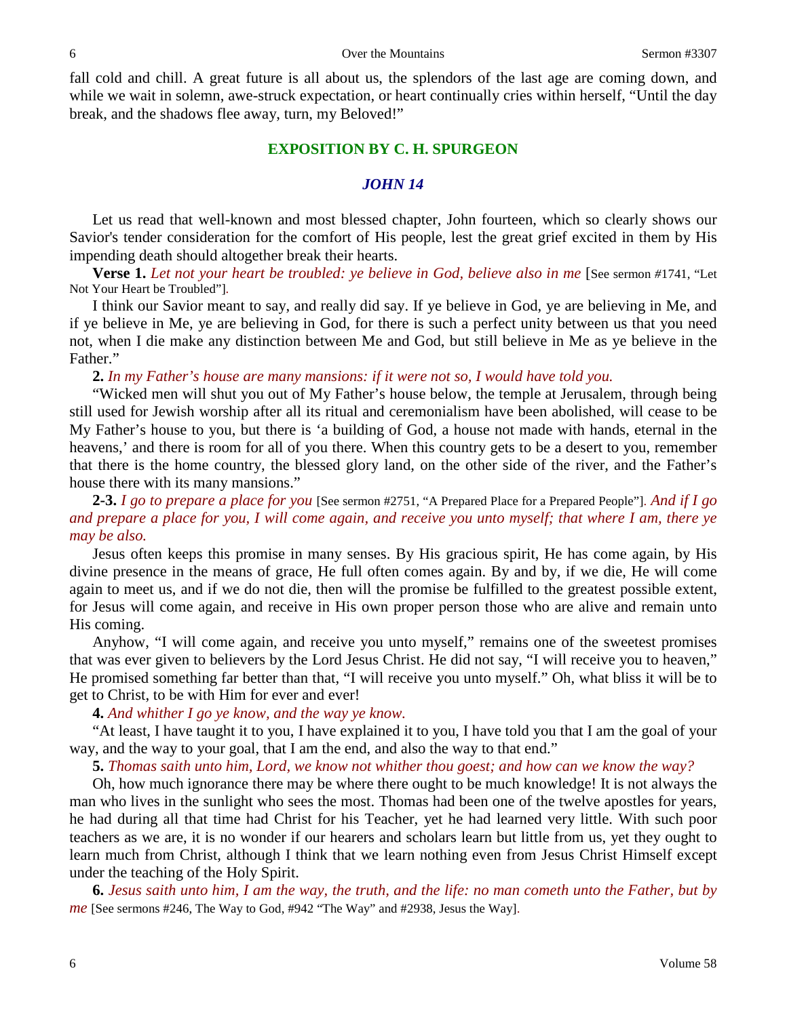fall cold and chill. A great future is all about us, the splendors of the last age are coming down, and while we wait in solemn, awe-struck expectation, or heart continually cries within herself, "Until the day break, and the shadows flee away, turn, my Beloved!"

## **EXPOSITION BY C. H. SPURGEON**

#### *JOHN 14*

Let us read that well-known and most blessed chapter, John fourteen, which so clearly shows our Savior's tender consideration for the comfort of His people, lest the great grief excited in them by His impending death should altogether break their hearts.

**Verse 1.** *Let not your heart be troubled: ye believe in God, believe also in me* [See sermon *#*1741, "Let Not Your Heart be Troubled"].

I think our Savior meant to say, and really did say. If ye believe in God, ye are believing in Me, and if ye believe in Me, ye are believing in God, for there is such a perfect unity between us that you need not, when I die make any distinction between Me and God, but still believe in Me as ye believe in the Father."

#### **2.** *In my Father's house are many mansions: if it were not so, I would have told you.*

"Wicked men will shut you out of My Father's house below, the temple at Jerusalem, through being still used for Jewish worship after all its ritual and ceremonialism have been abolished, will cease to be My Father's house to you, but there is 'a building of God, a house not made with hands, eternal in the heavens,' and there is room for all of you there. When this country gets to be a desert to you, remember that there is the home country, the blessed glory land, on the other side of the river, and the Father's house there with its many mansions."

# **2-3.** *I go to prepare a place for you* [See sermon #2751, "A Prepared Place for a Prepared People"]. *And if I go and prepare a place for you, I will come again, and receive you unto myself; that where I am, there ye may be also.*

Jesus often keeps this promise in many senses. By His gracious spirit, He has come again, by His divine presence in the means of grace, He full often comes again. By and by, if we die, He will come again to meet us, and if we do not die, then will the promise be fulfilled to the greatest possible extent, for Jesus will come again, and receive in His own proper person those who are alive and remain unto His coming.

Anyhow, "I will come again, and receive you unto myself," remains one of the sweetest promises that was ever given to believers by the Lord Jesus Christ. He did not say, "I will receive you to heaven," He promised something far better than that, "I will receive you unto myself." Oh, what bliss it will be to get to Christ, to be with Him for ever and ever!

### **4.** *And whither I go ye know, and the way ye know.*

"At least, I have taught it to you, I have explained it to you, I have told you that I am the goal of your way, and the way to your goal, that I am the end, and also the way to that end."

**5.** *Thomas saith unto him, Lord, we know not whither thou goest; and how can we know the way?*

Oh, how much ignorance there may be where there ought to be much knowledge! It is not always the man who lives in the sunlight who sees the most. Thomas had been one of the twelve apostles for years, he had during all that time had Christ for his Teacher, yet he had learned very little. With such poor teachers as we are, it is no wonder if our hearers and scholars learn but little from us, yet they ought to learn much from Christ, although I think that we learn nothing even from Jesus Christ Himself except under the teaching of the Holy Spirit.

**6.** *Jesus saith unto him, I am the way, the truth, and the life: no man cometh unto the Father, but by me* [See sermons #246, The Way to God, #942 "The Way" and #2938, Jesus the Way].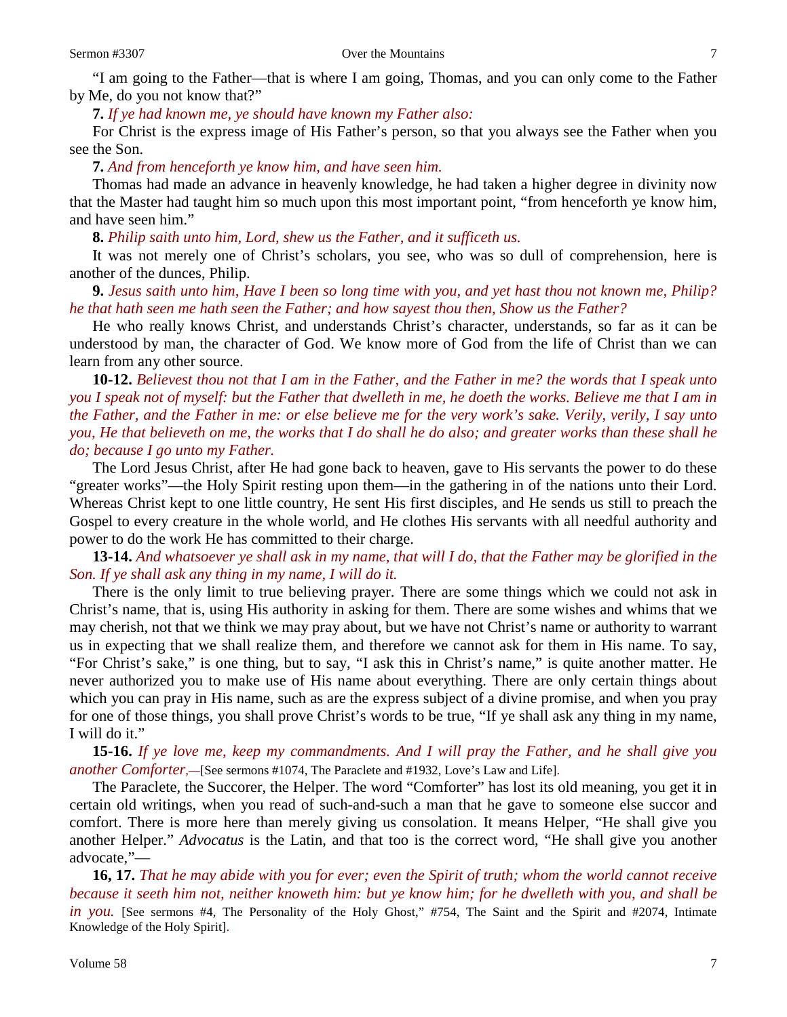"I am going to the Father—that is where I am going, Thomas, and you can only come to the Father by Me, do you not know that?"

**7.** *If ye had known me, ye should have known my Father also:*

For Christ is the express image of His Father's person, so that you always see the Father when you see the Son.

**7.** *And from henceforth ye know him, and have seen him.*

Thomas had made an advance in heavenly knowledge, he had taken a higher degree in divinity now that the Master had taught him so much upon this most important point, "from henceforth ye know him, and have seen him."

**8.** *Philip saith unto him, Lord, shew us the Father, and it sufficeth us.*

It was not merely one of Christ's scholars, you see, who was so dull of comprehension, here is another of the dunces, Philip.

**9.** *Jesus saith unto him, Have I been so long time with you, and yet hast thou not known me, Philip? he that hath seen me hath seen the Father; and how sayest thou then, Show us the Father?*

He who really knows Christ, and understands Christ's character, understands, so far as it can be understood by man, the character of God. We know more of God from the life of Christ than we can learn from any other source.

**10-12.** *Believest thou not that I am in the Father, and the Father in me? the words that I speak unto you I speak not of myself: but the Father that dwelleth in me, he doeth the works. Believe me that I am in the Father, and the Father in me: or else believe me for the very work's sake. Verily, verily, I say unto you, He that believeth on me, the works that I do shall he do also; and greater works than these shall he do; because I go unto my Father.*

The Lord Jesus Christ, after He had gone back to heaven, gave to His servants the power to do these "greater works"—the Holy Spirit resting upon them—in the gathering in of the nations unto their Lord. Whereas Christ kept to one little country, He sent His first disciples, and He sends us still to preach the Gospel to every creature in the whole world, and He clothes His servants with all needful authority and power to do the work He has committed to their charge.

**13-14.** *And whatsoever ye shall ask in my name, that will I do, that the Father may be glorified in the Son. If ye shall ask any thing in my name, I will do it.*

There is the only limit to true believing prayer. There are some things which we could not ask in Christ's name, that is, using His authority in asking for them. There are some wishes and whims that we may cherish, not that we think we may pray about, but we have not Christ's name or authority to warrant us in expecting that we shall realize them, and therefore we cannot ask for them in His name. To say, "For Christ's sake," is one thing, but to say, "I ask this in Christ's name," is quite another matter. He never authorized you to make use of His name about everything. There are only certain things about which you can pray in His name, such as are the express subject of a divine promise, and when you pray for one of those things, you shall prove Christ's words to be true, "If ye shall ask any thing in my name, I will do it."

**15-16.** *If ye love me, keep my commandments. And I will pray the Father, and he shall give you another Comforter,—*[See sermons #1074, The Paraclete and #1932, Love's Law and Life].

The Paraclete, the Succorer, the Helper. The word "Comforter" has lost its old meaning, you get it in certain old writings, when you read of such-and-such a man that he gave to someone else succor and comfort. There is more here than merely giving us consolation. It means Helper, "He shall give you another Helper." *Advocatus* is the Latin, and that too is the correct word, "He shall give you another advocate,"—

**16, 17.** *That he may abide with you for ever; even the Spirit of truth; whom the world cannot receive because it seeth him not, neither knoweth him: but ye know him; for he dwelleth with you, and shall be in you.* [See sermons #4, The Personality of the Holy Ghost," #754, The Saint and the Spirit and #2074, Intimate Knowledge of the Holy Spirit].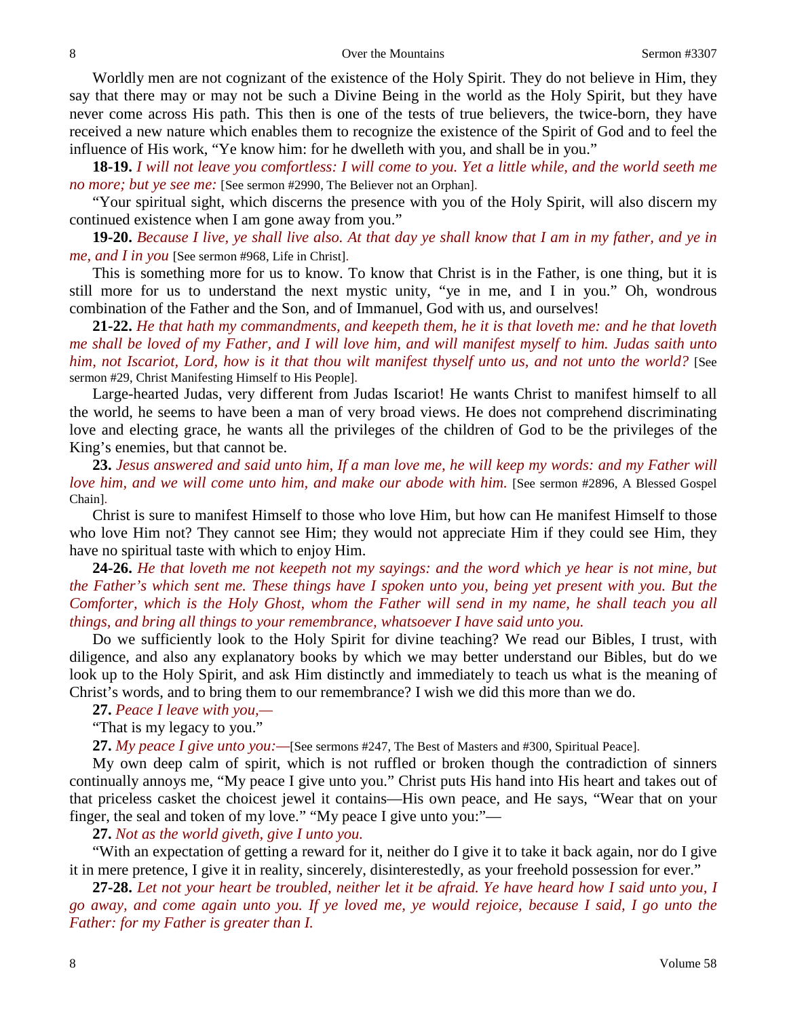Worldly men are not cognizant of the existence of the Holy Spirit. They do not believe in Him, they say that there may or may not be such a Divine Being in the world as the Holy Spirit, but they have never come across His path. This then is one of the tests of true believers, the twice-born, they have received a new nature which enables them to recognize the existence of the Spirit of God and to feel the influence of His work, "Ye know him: for he dwelleth with you, and shall be in you."

**18-19.** *I will not leave you comfortless: I will come to you. Yet a little while, and the world seeth me no more; but ye see me:* [See sermon #2990, The Believer not an Orphan].

"Your spiritual sight, which discerns the presence with you of the Holy Spirit, will also discern my continued existence when I am gone away from you."

**19-20.** *Because I live, ye shall live also. At that day ye shall know that I am in my father, and ye in me, and I in you* [See sermon #968, Life in Christ].

This is something more for us to know. To know that Christ is in the Father, is one thing, but it is still more for us to understand the next mystic unity, "ye in me, and I in you." Oh, wondrous combination of the Father and the Son, and of Immanuel, God with us, and ourselves!

**21-22.** *He that hath my commandments, and keepeth them, he it is that loveth me: and he that loveth me shall be loved of my Father, and I will love him, and will manifest myself to him. Judas saith unto him, not Iscariot, Lord, how is it that thou wilt manifest thyself unto us, and not unto the world?* [See sermon #29, Christ Manifesting Himself to His People].

Large-hearted Judas, very different from Judas Iscariot! He wants Christ to manifest himself to all the world, he seems to have been a man of very broad views. He does not comprehend discriminating love and electing grace, he wants all the privileges of the children of God to be the privileges of the King's enemies, but that cannot be.

**23.** *Jesus answered and said unto him, If a man love me, he will keep my words: and my Father will love him, and we will come unto him, and make our abode with him.* [See sermon #2896, A Blessed Gospel Chain].

Christ is sure to manifest Himself to those who love Him, but how can He manifest Himself to those who love Him not? They cannot see Him; they would not appreciate Him if they could see Him, they have no spiritual taste with which to enjoy Him.

**24-26.** *He that loveth me not keepeth not my sayings: and the word which ye hear is not mine, but the Father's which sent me. These things have I spoken unto you, being yet present with you. But the Comforter, which is the Holy Ghost, whom the Father will send in my name, he shall teach you all things, and bring all things to your remembrance, whatsoever I have said unto you.*

Do we sufficiently look to the Holy Spirit for divine teaching? We read our Bibles, I trust, with diligence, and also any explanatory books by which we may better understand our Bibles, but do we look up to the Holy Spirit, and ask Him distinctly and immediately to teach us what is the meaning of Christ's words, and to bring them to our remembrance? I wish we did this more than we do.

**27.** *Peace I leave with you,—*

"That is my legacy to you."

**27.** *My peace I give unto you:—*[See sermons #247, The Best of Masters and #300, Spiritual Peace].

My own deep calm of spirit, which is not ruffled or broken though the contradiction of sinners continually annoys me, "My peace I give unto you." Christ puts His hand into His heart and takes out of that priceless casket the choicest jewel it contains—His own peace, and He says, "Wear that on your finger, the seal and token of my love." "My peace I give unto you:"—

**27.** *Not as the world giveth, give I unto you.*

"With an expectation of getting a reward for it, neither do I give it to take it back again, nor do I give it in mere pretence, I give it in reality, sincerely, disinterestedly, as your freehold possession for ever."

**27-28.** *Let not your heart be troubled, neither let it be afraid. Ye have heard how I said unto you, I go away, and come again unto you. If ye loved me, ye would rejoice, because I said, I go unto the Father: for my Father is greater than I.*